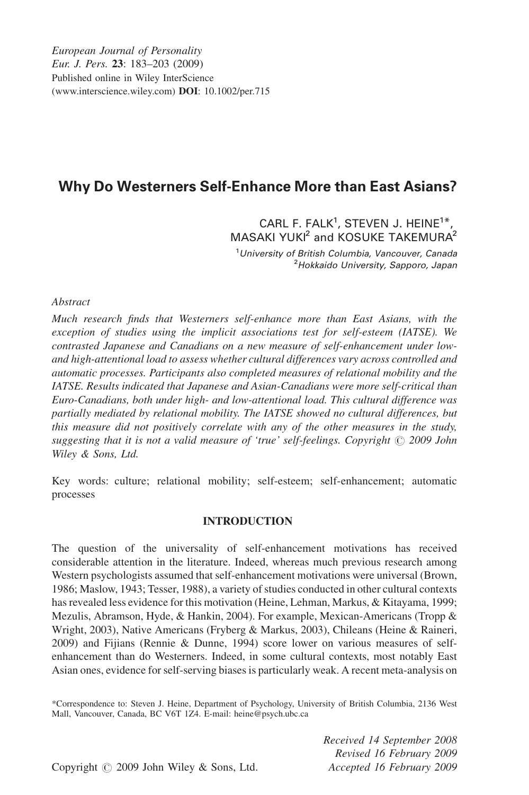European Journal of Personality Eur. J. Pers. 23: 183–203 (2009) Published online in Wiley InterScience (www.interscience.wiley.com) DOI: 10.1002/per.715

# Why Do Westerners Self-Enhance More than East Asians?

CARL F. FALK<sup>1</sup>, STEVEN J. HEINE<sup>1\*</sup>, MASAKI YUKI<sup>2</sup> and KOSUKE TAKEMURA<sup>2</sup>

<sup>1</sup>University of British Columbia, Vancouver, Canada <sup>2</sup>Hokkaido University, Sapporo, Japan

Abstract

Much research finds that Westerners self-enhance more than East Asians, with the exception of studies using the implicit associations test for self-esteem (IATSE). We contrasted Japanese and Canadians on a new measure of self-enhancement under lowand high-attentional load to assess whether cultural differences vary across controlled and automatic processes. Participants also completed measures of relational mobility and the IATSE. Results indicated that Japanese and Asian-Canadians were more self-critical than Euro-Canadians, both under high- and low-attentional load. This cultural difference was partially mediated by relational mobility. The IATSE showed no cultural differences, but this measure did not positively correlate with any of the other measures in the study, suggesting that it is not a valid measure of 'true' self-feelings. Copyright  $\oslash$  2009 John Wiley & Sons, Ltd.

Key words: culture; relational mobility; self-esteem; self-enhancement; automatic processes

# INTRODUCTION

The question of the universality of self-enhancement motivations has received considerable attention in the literature. Indeed, whereas much previous research among Western psychologists assumed that self-enhancement motivations were universal (Brown, 1986; Maslow, 1943; Tesser, 1988), a variety of studies conducted in other cultural contexts has revealed less evidence for this motivation (Heine, Lehman, Markus, & Kitayama, 1999; Mezulis, Abramson, Hyde, & Hankin, 2004). For example, Mexican-Americans (Tropp & Wright, 2003), Native Americans (Fryberg & Markus, 2003), Chileans (Heine & Raineri, 2009) and Fijians (Rennie & Dunne, 1994) score lower on various measures of selfenhancement than do Westerners. Indeed, in some cultural contexts, most notably East Asian ones, evidence for self-serving biases is particularly weak. A recent meta-analysis on

\*Correspondence to: Steven J. Heine, Department of Psychology, University of British Columbia, 2136 West Mall, Vancouver, Canada, BC V6T 1Z4. E-mail: heine@psych.ubc.ca

> Received 14 September 2008 Revised 16 February 2009 Accepted 16 February 2009

Copyright  $\odot$  2009 John Wiley & Sons, Ltd.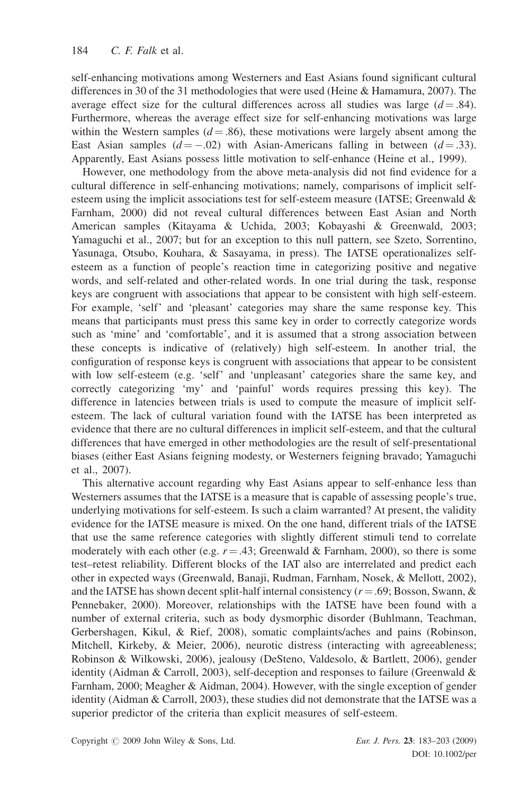self-enhancing motivations among Westerners and East Asians found significant cultural differences in 30 of the 31 methodologies that were used (Heine & Hamamura, 2007). The average effect size for the cultural differences across all studies was large  $(d = .84)$ . Furthermore, whereas the average effect size for self-enhancing motivations was large within the Western samples  $(d = .86)$ , these motivations were largely absent among the East Asian samples  $(d = -.02)$  with Asian-Americans falling in between  $(d = .33)$ . Apparently, East Asians possess little motivation to self-enhance (Heine et al., 1999).

However, one methodology from the above meta-analysis did not find evidence for a cultural difference in self-enhancing motivations; namely, comparisons of implicit selfesteem using the implicit associations test for self-esteem measure (IATSE; Greenwald & Farnham, 2000) did not reveal cultural differences between East Asian and North American samples (Kitayama & Uchida, 2003; Kobayashi & Greenwald, 2003; Yamaguchi et al., 2007; but for an exception to this null pattern, see Szeto, Sorrentino, Yasunaga, Otsubo, Kouhara, & Sasayama, in press). The IATSE operationalizes selfesteem as a function of people's reaction time in categorizing positive and negative words, and self-related and other-related words. In one trial during the task, response keys are congruent with associations that appear to be consistent with high self-esteem. For example, 'self' and 'pleasant' categories may share the same response key. This means that participants must press this same key in order to correctly categorize words such as 'mine' and 'comfortable', and it is assumed that a strong association between these concepts is indicative of (relatively) high self-esteem. In another trial, the configuration of response keys is congruent with associations that appear to be consistent with low self-esteem (e.g. 'self' and 'unpleasant' categories share the same key, and correctly categorizing 'my' and 'painful' words requires pressing this key). The difference in latencies between trials is used to compute the measure of implicit selfesteem. The lack of cultural variation found with the IATSE has been interpreted as evidence that there are no cultural differences in implicit self-esteem, and that the cultural differences that have emerged in other methodologies are the result of self-presentational biases (either East Asians feigning modesty, or Westerners feigning bravado; Yamaguchi et al., 2007).

This alternative account regarding why East Asians appear to self-enhance less than Westerners assumes that the IATSE is a measure that is capable of assessing people's true, underlying motivations for self-esteem. Is such a claim warranted? At present, the validity evidence for the IATSE measure is mixed. On the one hand, different trials of the IATSE that use the same reference categories with slightly different stimuli tend to correlate moderately with each other (e.g.  $r = .43$ ; Greenwald & Farnham, 2000), so there is some test–retest reliability. Different blocks of the IAT also are interrelated and predict each other in expected ways (Greenwald, Banaji, Rudman, Farnham, Nosek, & Mellott, 2002), and the IATSE has shown decent split-half internal consistency ( $r = .69$ ; Bosson, Swann, & Pennebaker, 2000). Moreover, relationships with the IATSE have been found with a number of external criteria, such as body dysmorphic disorder (Buhlmann, Teachman, Gerbershagen, Kikul, & Rief, 2008), somatic complaints/aches and pains (Robinson, Mitchell, Kirkeby, & Meier, 2006), neurotic distress (interacting with agreeableness; Robinson & Wilkowski, 2006), jealousy (DeSteno, Valdesolo, & Bartlett, 2006), gender identity (Aidman & Carroll, 2003), self-deception and responses to failure (Greenwald  $\&$ Farnham, 2000; Meagher & Aidman, 2004). However, with the single exception of gender identity (Aidman & Carroll, 2003), these studies did not demonstrate that the IATSE was a superior predictor of the criteria than explicit measures of self-esteem.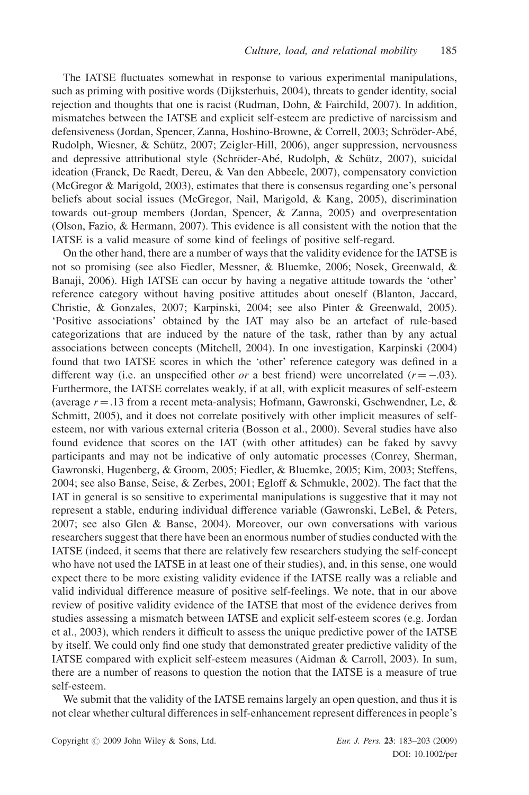The IATSE fluctuates somewhat in response to various experimental manipulations, such as priming with positive words (Dijksterhuis, 2004), threats to gender identity, social rejection and thoughts that one is racist (Rudman, Dohn, & Fairchild, 2007). In addition, mismatches between the IATSE and explicit self-esteem are predictive of narcissism and defensiveness (Jordan, Spencer, Zanna, Hoshino-Browne, & Correll, 2003; Schröder-Abé, Rudolph, Wiesner, & Schütz, 2007; Zeigler-Hill, 2006), anger suppression, nervousness and depressive attributional style (Schröder-Abé, Rudolph, & Schütz, 2007), suicidal ideation (Franck, De Raedt, Dereu, & Van den Abbeele, 2007), compensatory conviction (McGregor & Marigold, 2003), estimates that there is consensus regarding one's personal beliefs about social issues (McGregor, Nail, Marigold, & Kang, 2005), discrimination towards out-group members (Jordan, Spencer, & Zanna, 2005) and overpresentation (Olson, Fazio, & Hermann, 2007). This evidence is all consistent with the notion that the IATSE is a valid measure of some kind of feelings of positive self-regard.

On the other hand, there are a number of ways that the validity evidence for the IATSE is not so promising (see also Fiedler, Messner, & Bluemke, 2006; Nosek, Greenwald, & Banaji, 2006). High IATSE can occur by having a negative attitude towards the 'other' reference category without having positive attitudes about oneself (Blanton, Jaccard, Christie, & Gonzales, 2007; Karpinski, 2004; see also Pinter & Greenwald, 2005). 'Positive associations' obtained by the IAT may also be an artefact of rule-based categorizations that are induced by the nature of the task, rather than by any actual associations between concepts (Mitchell, 2004). In one investigation, Karpinski (2004) found that two IATSE scores in which the 'other' reference category was defined in a different way (i.e. an unspecified other or a best friend) were uncorrelated  $(r = -.03)$ . Furthermore, the IATSE correlates weakly, if at all, with explicit measures of self-esteem (average  $r = .13$  from a recent meta-analysis; Hofmann, Gawronski, Gschwendner, Le, & Schmitt, 2005), and it does not correlate positively with other implicit measures of selfesteem, nor with various external criteria (Bosson et al., 2000). Several studies have also found evidence that scores on the IAT (with other attitudes) can be faked by savvy participants and may not be indicative of only automatic processes (Conrey, Sherman, Gawronski, Hugenberg, & Groom, 2005; Fiedler, & Bluemke, 2005; Kim, 2003; Steffens, 2004; see also Banse, Seise, & Zerbes, 2001; Egloff & Schmukle, 2002). The fact that the IAT in general is so sensitive to experimental manipulations is suggestive that it may not represent a stable, enduring individual difference variable (Gawronski, LeBel, & Peters, 2007; see also Glen & Banse, 2004). Moreover, our own conversations with various researchers suggest that there have been an enormous number of studies conducted with the IATSE (indeed, it seems that there are relatively few researchers studying the self-concept who have not used the IATSE in at least one of their studies), and, in this sense, one would expect there to be more existing validity evidence if the IATSE really was a reliable and valid individual difference measure of positive self-feelings. We note, that in our above review of positive validity evidence of the IATSE that most of the evidence derives from studies assessing a mismatch between IATSE and explicit self-esteem scores (e.g. Jordan et al., 2003), which renders it difficult to assess the unique predictive power of the IATSE by itself. We could only find one study that demonstrated greater predictive validity of the IATSE compared with explicit self-esteem measures (Aidman & Carroll, 2003). In sum, there are a number of reasons to question the notion that the IATSE is a measure of true self-esteem.

We submit that the validity of the IATSE remains largely an open question, and thus it is not clear whether cultural differences in self-enhancement represent differences in people's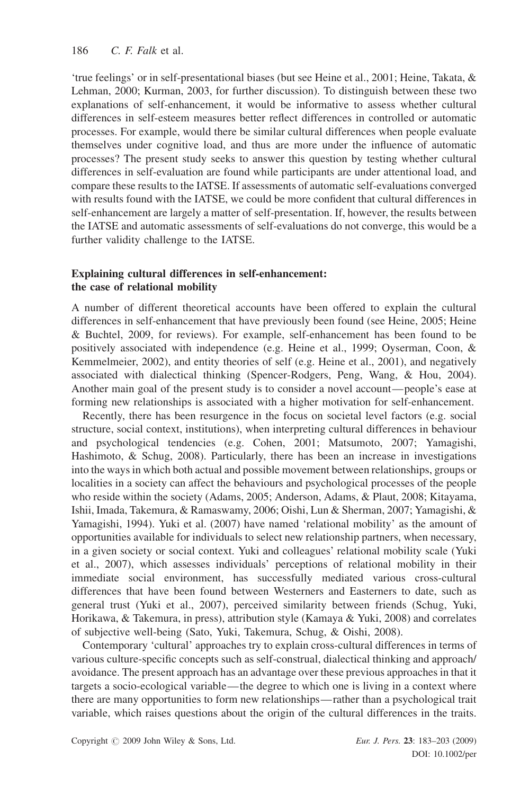'true feelings' or in self-presentational biases (but see Heine et al., 2001; Heine, Takata, & Lehman, 2000; Kurman, 2003, for further discussion). To distinguish between these two explanations of self-enhancement, it would be informative to assess whether cultural differences in self-esteem measures better reflect differences in controlled or automatic processes. For example, would there be similar cultural differences when people evaluate themselves under cognitive load, and thus are more under the influence of automatic processes? The present study seeks to answer this question by testing whether cultural differences in self-evaluation are found while participants are under attentional load, and compare these results to the IATSE. If assessments of automatic self-evaluations converged with results found with the IATSE, we could be more confident that cultural differences in self-enhancement are largely a matter of self-presentation. If, however, the results between the IATSE and automatic assessments of self-evaluations do not converge, this would be a further validity challenge to the IATSE.

# Explaining cultural differences in self-enhancement: the case of relational mobility

A number of different theoretical accounts have been offered to explain the cultural differences in self-enhancement that have previously been found (see Heine, 2005; Heine & Buchtel, 2009, for reviews). For example, self-enhancement has been found to be positively associated with independence (e.g. Heine et al., 1999; Oyserman, Coon, & Kemmelmeier, 2002), and entity theories of self (e.g. Heine et al., 2001), and negatively associated with dialectical thinking (Spencer-Rodgers, Peng, Wang, & Hou, 2004). Another main goal of the present study is to consider a novel account—people's ease at forming new relationships is associated with a higher motivation for self-enhancement.

Recently, there has been resurgence in the focus on societal level factors (e.g. social structure, social context, institutions), when interpreting cultural differences in behaviour and psychological tendencies (e.g. Cohen, 2001; Matsumoto, 2007; Yamagishi, Hashimoto, & Schug, 2008). Particularly, there has been an increase in investigations into the ways in which both actual and possible movement between relationships, groups or localities in a society can affect the behaviours and psychological processes of the people who reside within the society (Adams, 2005; Anderson, Adams, & Plaut, 2008; Kitayama, Ishii, Imada, Takemura, & Ramaswamy, 2006; Oishi, Lun & Sherman, 2007; Yamagishi, & Yamagishi, 1994). Yuki et al. (2007) have named 'relational mobility' as the amount of opportunities available for individuals to select new relationship partners, when necessary, in a given society or social context. Yuki and colleagues' relational mobility scale (Yuki et al., 2007), which assesses individuals' perceptions of relational mobility in their immediate social environment, has successfully mediated various cross-cultural differences that have been found between Westerners and Easterners to date, such as general trust (Yuki et al., 2007), perceived similarity between friends (Schug, Yuki, Horikawa, & Takemura, in press), attribution style (Kamaya & Yuki, 2008) and correlates of subjective well-being (Sato, Yuki, Takemura, Schug, & Oishi, 2008).

Contemporary 'cultural' approaches try to explain cross-cultural differences in terms of various culture-specific concepts such as self-construal, dialectical thinking and approach/ avoidance. The present approach has an advantage over these previous approaches in that it targets a socio-ecological variable—the degree to which one is living in a context where there are many opportunities to form new relationships— rather than a psychological trait variable, which raises questions about the origin of the cultural differences in the traits.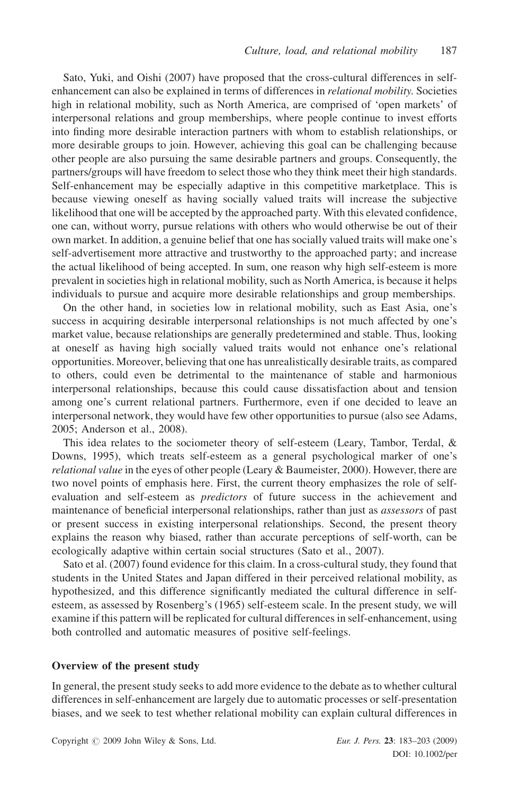Sato, Yuki, and Oishi (2007) have proposed that the cross-cultural differences in selfenhancement can also be explained in terms of differences in relational mobility. Societies high in relational mobility, such as North America, are comprised of 'open markets' of interpersonal relations and group memberships, where people continue to invest efforts into finding more desirable interaction partners with whom to establish relationships, or more desirable groups to join. However, achieving this goal can be challenging because other people are also pursuing the same desirable partners and groups. Consequently, the partners/groups will have freedom to select those who they think meet their high standards. Self-enhancement may be especially adaptive in this competitive marketplace. This is because viewing oneself as having socially valued traits will increase the subjective likelihood that one will be accepted by the approached party. With this elevated confidence, one can, without worry, pursue relations with others who would otherwise be out of their own market. In addition, a genuine belief that one has socially valued traits will make one's self-advertisement more attractive and trustworthy to the approached party; and increase the actual likelihood of being accepted. In sum, one reason why high self-esteem is more prevalent in societies high in relational mobility, such as North America, is because it helps individuals to pursue and acquire more desirable relationships and group memberships.

On the other hand, in societies low in relational mobility, such as East Asia, one's success in acquiring desirable interpersonal relationships is not much affected by one's market value, because relationships are generally predetermined and stable. Thus, looking at oneself as having high socially valued traits would not enhance one's relational opportunities. Moreover, believing that one has unrealistically desirable traits, as compared to others, could even be detrimental to the maintenance of stable and harmonious interpersonal relationships, because this could cause dissatisfaction about and tension among one's current relational partners. Furthermore, even if one decided to leave an interpersonal network, they would have few other opportunities to pursue (also see Adams, 2005; Anderson et al., 2008).

This idea relates to the sociometer theory of self-esteem (Leary, Tambor, Terdal, & Downs, 1995), which treats self-esteem as a general psychological marker of one's relational value in the eyes of other people (Leary & Baumeister, 2000). However, there are two novel points of emphasis here. First, the current theory emphasizes the role of selfevaluation and self-esteem as predictors of future success in the achievement and maintenance of beneficial interpersonal relationships, rather than just as assessors of past or present success in existing interpersonal relationships. Second, the present theory explains the reason why biased, rather than accurate perceptions of self-worth, can be ecologically adaptive within certain social structures (Sato et al., 2007).

Sato et al. (2007) found evidence for this claim. In a cross-cultural study, they found that students in the United States and Japan differed in their perceived relational mobility, as hypothesized, and this difference significantly mediated the cultural difference in selfesteem, as assessed by Rosenberg's (1965) self-esteem scale. In the present study, we will examine if this pattern will be replicated for cultural differences in self-enhancement, using both controlled and automatic measures of positive self-feelings.

### Overview of the present study

In general, the present study seeks to add more evidence to the debate as to whether cultural differences in self-enhancement are largely due to automatic processes or self-presentation biases, and we seek to test whether relational mobility can explain cultural differences in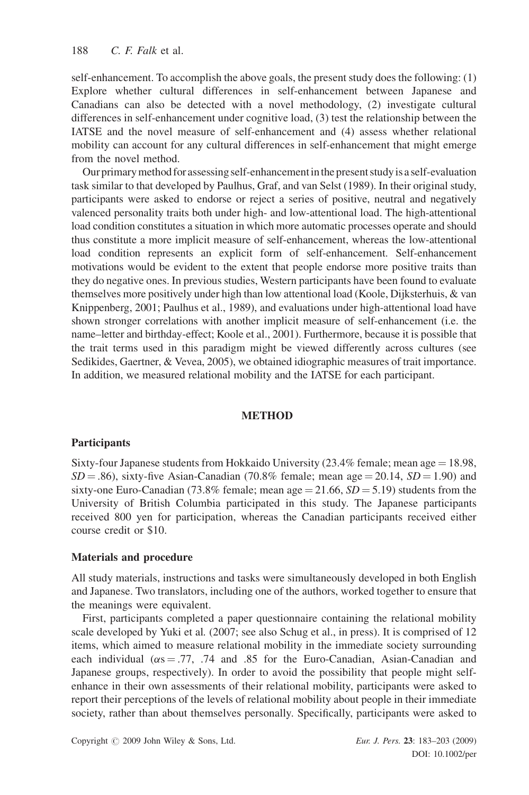self-enhancement. To accomplish the above goals, the present study does the following: (1) Explore whether cultural differences in self-enhancement between Japanese and Canadians can also be detected with a novel methodology, (2) investigate cultural differences in self-enhancement under cognitive load, (3) test the relationship between the IATSE and the novel measure of self-enhancement and (4) assess whether relational mobility can account for any cultural differences in self-enhancement that might emerge from the novel method.

Our primarymethod for assessing self-enhancementinthe present studyis a self-evaluation task similar to that developed by Paulhus, Graf, and van Selst (1989). In their original study, participants were asked to endorse or reject a series of positive, neutral and negatively valenced personality traits both under high- and low-attentional load. The high-attentional load condition constitutes a situation in which more automatic processes operate and should thus constitute a more implicit measure of self-enhancement, whereas the low-attentional load condition represents an explicit form of self-enhancement. Self-enhancement motivations would be evident to the extent that people endorse more positive traits than they do negative ones. In previous studies, Western participants have been found to evaluate themselves more positively under high than low attentional load (Koole, Dijksterhuis, & van Knippenberg, 2001; Paulhus et al., 1989), and evaluations under high-attentional load have shown stronger correlations with another implicit measure of self-enhancement (i.e. the name–letter and birthday-effect; Koole et al., 2001). Furthermore, because it is possible that the trait terms used in this paradigm might be viewed differently across cultures (see Sedikides, Gaertner, & Vevea, 2005), we obtained idiographic measures of trait importance. In addition, we measured relational mobility and the IATSE for each participant.

### **METHOD**

# Participants

Sixty-four Japanese students from Hokkaido University  $(23.4\%$  female; mean age = 18.98,  $SD = .86$ , sixty-five Asian-Canadian (70.8% female; mean age  $= 20.14$ ,  $SD = 1.90$ ) and sixty-one Euro-Canadian (73.8% female; mean age  $=$  21.66, *SD* = 5.19) students from the University of British Columbia participated in this study. The Japanese participants received 800 yen for participation, whereas the Canadian participants received either course credit or \$10.

# Materials and procedure

All study materials, instructions and tasks were simultaneously developed in both English and Japanese. Two translators, including one of the authors, worked together to ensure that the meanings were equivalent.

First, participants completed a paper questionnaire containing the relational mobility scale developed by Yuki et al. (2007; see also Schug et al., in press). It is comprised of 12 items, which aimed to measure relational mobility in the immediate society surrounding each individual ( $\alpha s = .77, .74$  and .85 for the Euro-Canadian, Asian-Canadian and Japanese groups, respectively). In order to avoid the possibility that people might selfenhance in their own assessments of their relational mobility, participants were asked to report their perceptions of the levels of relational mobility about people in their immediate society, rather than about themselves personally. Specifically, participants were asked to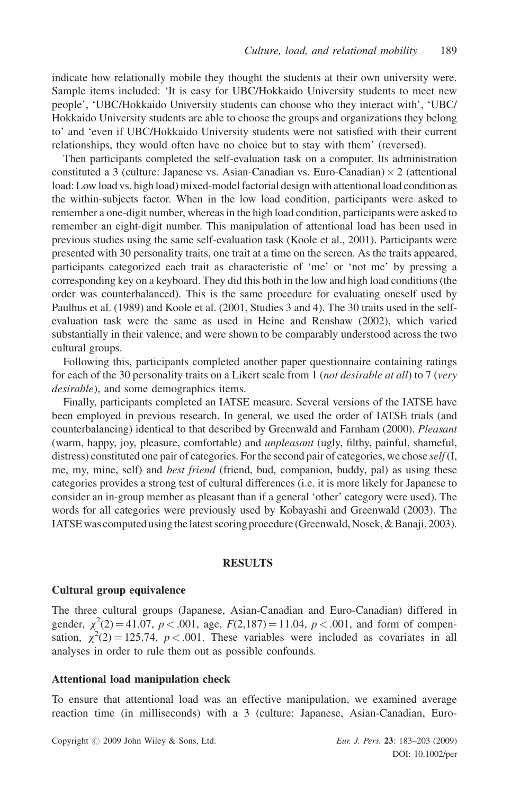indicate how relationally mobile they thought the students at their own university were. Sample items included: 'It is easy for UBC/Hokkaido University students to meet new people', 'UBC/Hokkaido University students can choose who they interact with', 'UBC/ Hokkaido University students are able to choose the groups and organizations they belong to' and 'even if UBC/Hokkaido University students were not satisfied with their current relationships, they would often have no choice but to stay with them' (reversed).

Then participants completed the self-evaluation task on a computer. Its administration constituted a 3 (culture: Japanese vs. Asian-Canadian vs. Euro-Canadian)  $\times$  2 (attentional load: Low load vs. high load) mixed-model factorial design with attentional load condition as the within-subjects factor. When in the low load condition, participants were asked to remember a one-digit number, whereas in the high load condition, participants were asked to remember an eight-digit number. This manipulation of attentional load has been used in previous studies using the same self-evaluation task (Koole et al., 2001). Participants were presented with 30 personality traits, one trait at a time on the screen. As the traits appeared, participants categorized each trait as characteristic of 'me' or 'not me' by pressing a corresponding key on a keyboard. They did this both in the low and high load conditions (the order was counterbalanced). This is the same procedure for evaluating oneself used by Paulhus et al. (1989) and Koole et al. (2001, Studies 3 and 4). The 30 traits used in the selfevaluation task were the same as used in Heine and Renshaw (2002), which varied substantially in their valence, and were shown to be comparably understood across the two cultural groups.

Following this, participants completed another paper questionnaire containing ratings for each of the 30 personality traits on a Likert scale from 1 (not desirable at all) to 7 (very desirable), and some demographics items.

Finally, participants completed an IATSE measure. Several versions of the IATSE have been employed in previous research. In general, we used the order of IATSE trials (and counterbalancing) identical to that described by Greenwald and Farnham (2000). Pleasant (warm, happy, joy, pleasure, comfortable) and unpleasant (ugly, filthy, painful, shameful, distress) constituted one pair of categories. For the second pair of categories, we chose *self* (I, me, my, mine, self) and best friend (friend, bud, companion, buddy, pal) as using these categories provides a strong test of cultural differences (i.e. it is more likely for Japanese to consider an in-group member as pleasant than if a general 'other' category were used). The words for all categories were previously used by Kobayashi and Greenwald (2003). The IATSE was computed using the latest scoring procedure (Greenwald, Nosek, & Banaji, 2003).

### RESULTS

#### Cultural group equivalence

The three cultural groups (Japanese, Asian-Canadian and Euro-Canadian) differed in gender,  $\chi^2(2) = 41.07$ ,  $p < .001$ , age,  $F(2,187) = 11.04$ ,  $p < .001$ , and form of compensation,  $\chi^2(2) = 125.74$ ,  $p < .001$ . These variables were included as covariates in all analyses in order to rule them out as possible confounds.

#### Attentional load manipulation check

To ensure that attentional load was an effective manipulation, we examined average reaction time (in milliseconds) with a 3 (culture: Japanese, Asian-Canadian, Euro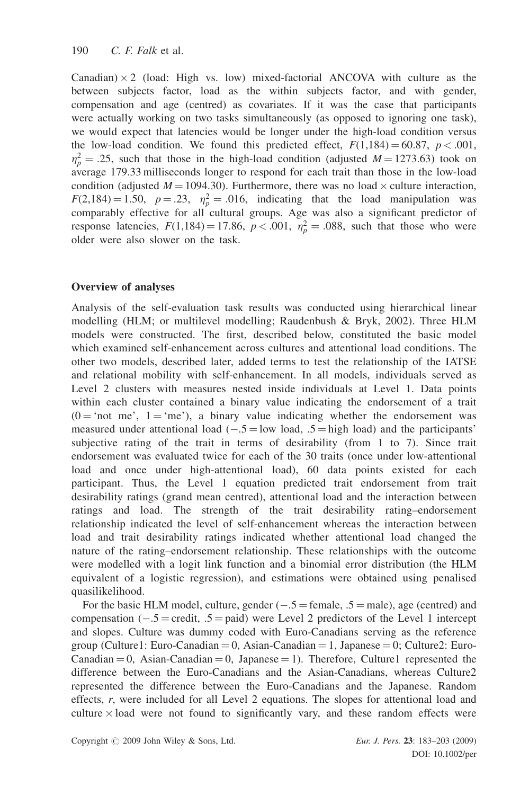Canadian)  $\times$  2 (load: High vs. low) mixed-factorial ANCOVA with culture as the between subjects factor, load as the within subjects factor, and with gender, compensation and age (centred) as covariates. If it was the case that participants were actually working on two tasks simultaneously (as opposed to ignoring one task), we would expect that latencies would be longer under the high-load condition versus the low-load condition. We found this predicted effect,  $F(1,184) = 60.87$ ,  $p < .001$ ,  $\eta_p^2 = .25$ , such that those in the high-load condition (adjusted  $M = 1273.63$ ) took on average 179.33 milliseconds longer to respond for each trait than those in the low-load condition (adjusted  $M = 1094.30$ ). Furthermore, there was no load  $\times$  culture interaction,  $F(2,184) = 1.50$ ,  $p = .23$ ,  $\eta_p^2 = .016$ , indicating that the load manipulation was comparably effective for all cultural groups. Age was also a significant predictor of response latencies,  $F(1,184) = 17.86$ ,  $p < .001$ ,  $\eta_p^2 = .088$ , such that those who were older were also slower on the task.

# Overview of analyses

Analysis of the self-evaluation task results was conducted using hierarchical linear modelling (HLM; or multilevel modelling; Raudenbush & Bryk, 2002). Three HLM models were constructed. The first, described below, constituted the basic model which examined self-enhancement across cultures and attentional load conditions. The other two models, described later, added terms to test the relationship of the IATSE and relational mobility with self-enhancement. In all models, individuals served as Level 2 clusters with measures nested inside individuals at Level 1. Data points within each cluster contained a binary value indicating the endorsement of a trait  $(0 = 'not me', 1 = 'me'),$  a binary value indicating whether the endorsement was measured under attentional load  $(-.5 = low load, .5 = high load)$  and the participants' subjective rating of the trait in terms of desirability (from 1 to 7). Since trait endorsement was evaluated twice for each of the 30 traits (once under low-attentional load and once under high-attentional load), 60 data points existed for each participant. Thus, the Level 1 equation predicted trait endorsement from trait desirability ratings (grand mean centred), attentional load and the interaction between ratings and load. The strength of the trait desirability rating–endorsement relationship indicated the level of self-enhancement whereas the interaction between load and trait desirability ratings indicated whether attentional load changed the nature of the rating–endorsement relationship. These relationships with the outcome were modelled with a logit link function and a binomial error distribution (the HLM equivalent of a logistic regression), and estimations were obtained using penalised quasilikelihood.

For the basic HLM model, culture, gender  $(-.5 = \text{female}, .5 = \text{male})$ , age (centred) and compensation  $(-.5 = \text{credit}, .5 = \text{paid})$  were Level 2 predictors of the Level 1 intercept and slopes. Culture was dummy coded with Euro-Canadians serving as the reference group (Culture1: Euro-Canadian = 0, Asian-Canadian = 1, Japanese = 0; Culture2: Euro- $Canadian = 0$ ,  $Asian$ -Canadian  $= 0$ , Japanese  $= 1$ ). Therefore, Culture1 represented the difference between the Euro-Canadians and the Asian-Canadians, whereas Culture2 represented the difference between the Euro-Canadians and the Japanese. Random effects, r, were included for all Level 2 equations. The slopes for attentional load and culture  $\times$  load were not found to significantly vary, and these random effects were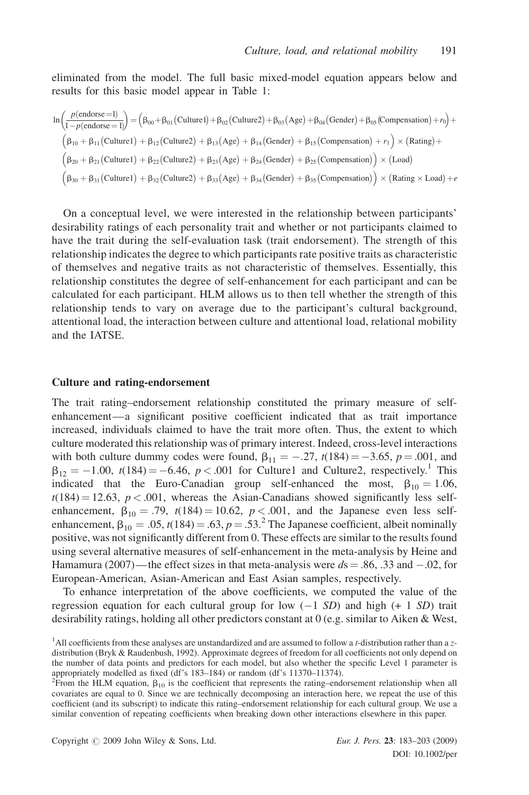eliminated from the model. The full basic mixed-model equation appears below and results for this basic model appear in Table 1:

$$
\ln\left(\frac{p(\text{endorse}=1)}{1-p(\text{endorse}=1)}\right) = \left(\beta_{00} + \beta_{01}(\text{Culture1}) + \beta_{02}(\text{Culture2}) + \beta_{03}(\text{Age}) + \beta_{04}(\text{Gender}) + \beta_{05}(\text{Comparison}) + r_0\right) + \left(\beta_{10} + \beta_{11}(\text{Culture1}) + \beta_{12}(\text{Culture2}) + \beta_{13}(\text{Age}) + \beta_{14}(\text{Gender}) + \beta_{15}(\text{Comparison}) + r_1\right) \times (\text{Rating}) + \left(\beta_{20} + \beta_{21}(\text{Culture1}) + \beta_{22}(\text{Culture2}) + \beta_{23}(\text{Age}) + \beta_{24}(\text{Gender}) + \beta_{25}(\text{Comparison})\right) \times (\text{Load}) + \left(\beta_{30} + \beta_{31}(\text{Culture1}) + \beta_{32}(\text{Culture2}) + \beta_{33}(\text{Age}) + \beta_{34}(\text{Gender}) + \beta_{35}(\text{Comparison})\right) \times (\text{Rating} \times \text{Load}) + e_1
$$

On a conceptual level, we were interested in the relationship between participants' desirability ratings of each personality trait and whether or not participants claimed to have the trait during the self-evaluation task (trait endorsement). The strength of this relationship indicates the degree to which participants rate positive traits as characteristic of themselves and negative traits as not characteristic of themselves. Essentially, this relationship constitutes the degree of self-enhancement for each participant and can be calculated for each participant. HLM allows us to then tell whether the strength of this relationship tends to vary on average due to the participant's cultural background, attentional load, the interaction between culture and attentional load, relational mobility and the IATSE.

### Culture and rating-endorsement

The trait rating–endorsement relationship constituted the primary measure of selfenhancement—a significant positive coefficient indicated that as trait importance increased, individuals claimed to have the trait more often. Thus, the extent to which culture moderated this relationship was of primary interest. Indeed, cross-level interactions with both culture dummy codes were found,  $\beta_{11} = -.27$ ,  $t(184) = -.3.65$ ,  $p = .001$ , and  $\beta_{12} = -1.00$ ,  $t(184) = -6.46$ ,  $p < .001$  for Culture1 and Culture2, respectively.<sup>1</sup> This indicated that the Euro-Canadian group self-enhanced the most,  $\beta_{10} = 1.06$ ,  $t(184) = 12.63$ ,  $p < .001$ , whereas the Asian-Canadians showed significantly less selfenhancement,  $\beta_{10} = .79$ ,  $t(184) = 10.62$ ,  $p < .001$ , and the Japanese even less selfenhancement,  $\beta_{10} = .05$ ,  $t(184) = .63$ ,  $p = .53$ .<sup>2</sup> The Japanese coefficient, albeit nominally positive, was not significantly different from 0. These effects are similar to the results found using several alternative measures of self-enhancement in the meta-analysis by Heine and Hamamura (2007)—the effect sizes in that meta-analysis were  $ds = .86, .33$  and  $-.02,$  for European-American, Asian-American and East Asian samples, respectively.

To enhance interpretation of the above coefficients, we computed the value of the regression equation for each cultural group for low  $(-1 SD)$  and high  $(+ 1 SD)$  trait desirability ratings, holding all other predictors constant at 0 (e.g. similar to Aiken & West,

Copyright © 2009 John Wiley & Sons, Ltd. Eur. J. Pers. 23: 183–203 (2009)

<sup>&</sup>lt;sup>1</sup>All coefficients from these analyses are unstandardized and are assumed to follow a *t*-distribution rather than a *z*distribution (Bryk & Raudenbush, 1992). Approximate degrees of freedom for all coefficients not only depend on the number of data points and predictors for each model, but also whether the specific Level 1 parameter is

appropriately modelled as fixed (df's 183–184) or random (df's 11370–11374).<br><sup>2</sup> From the HLM equation,  $\beta_{10}$  is the coefficient that represents the rating–endorsement relationship when all covariates are equal to 0. Since we are technically decomposing an interaction here, we repeat the use of this coefficient (and its subscript) to indicate this rating–endorsement relationship for each cultural group. We use a similar convention of repeating coefficients when breaking down other interactions elsewhere in this paper.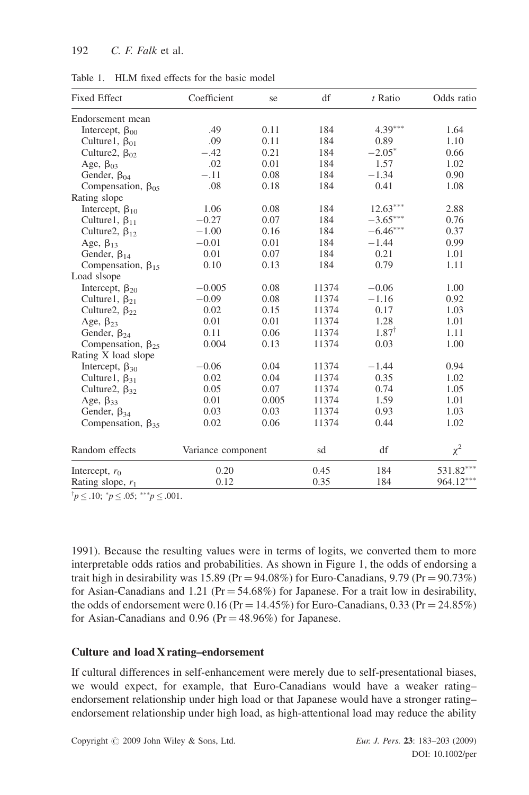### 192 C. F. Falk et al.

| <b>Fixed Effect</b>        | Coefficient        | se    | df    | t Ratio          | Odds ratio |
|----------------------------|--------------------|-------|-------|------------------|------------|
| Endorsement mean           |                    |       |       |                  |            |
| Intercept, $\beta_{00}$    | .49                | 0.11  | 184   | $4.39***$        | 1.64       |
| Culture1, $\beta_{01}$     | .09                | 0.11  | 184   | 0.89             | 1.10       |
| Culture2, $\beta_{02}$     | $-.42$             | 0.21  | 184   | $-2.05*$         | 0.66       |
| Age, $\beta_{03}$          | .02                | 0.01  | 184   | 1.57             | 1.02       |
| Gender, $\beta_{04}$       | $-.11$             | 0.08  | 184   | $-1.34$          | 0.90       |
| Compensation, $\beta_{05}$ | .08                | 0.18  | 184   | 0.41             | 1.08       |
| Rating slope               |                    |       |       |                  |            |
| Intercept, $\beta_{10}$    | 1.06               | 0.08  | 184   | $12.63***$       | 2.88       |
| Culture1, $\beta_{11}$     | $-0.27$            | 0.07  | 184   | $-3.65***$       | 0.76       |
| Culture2, $\beta_{12}$     | $-1.00$            | 0.16  | 184   | $-6.46***$       | 0.37       |
| Age, $\beta_{13}$          | $-0.01$            | 0.01  | 184   | $-1.44$          | 0.99       |
| Gender, $\beta_{14}$       | 0.01               | 0.07  | 184   | 0.21             | 1.01       |
| Compensation, $\beta_{15}$ | 0.10               | 0.13  | 184   | 0.79             | 1.11       |
| Load slsope                |                    |       |       |                  |            |
| Intercept, $\beta_{20}$    | $-0.005$           | 0.08  | 11374 | $-0.06$          | 1.00       |
| Culture1, $\beta_{21}$     | $-0.09$            | 0.08  | 11374 | $-1.16$          | 0.92       |
| Culture2, $\beta_{22}$     | 0.02               | 0.15  | 11374 | 0.17             | 1.03       |
| Age, $\beta_{23}$          | 0.01               | 0.01  | 11374 | 1.28             | 1.01       |
| Gender, $\beta_{24}$       | 0.11               | 0.06  | 11374 | $1.87^{\dagger}$ | 1.11       |
| Compensation, $\beta_{25}$ | 0.004              | 0.13  | 11374 | 0.03             | 1.00       |
| Rating X load slope        |                    |       |       |                  |            |
| Intercept, $\beta_{30}$    | $-0.06$            | 0.04  | 11374 | $-1.44$          | 0.94       |
| Culture1, $\beta_{31}$     | 0.02               | 0.04  | 11374 | 0.35             | 1.02       |
| Culture2, $\beta_{32}$     | 0.05               | 0.07  | 11374 | 0.74             | 1.05       |
| Age, $\beta_{33}$          | 0.01               | 0.005 | 11374 | 1.59             | 1.01       |
| Gender, $\beta_{34}$       | 0.03               | 0.03  | 11374 | 0.93             | 1.03       |
| Compensation, $\beta_{35}$ | 0.02               | 0.06  | 11374 | 0.44             | 1.02       |
| Random effects             | Variance component |       | sd    | df               | $\chi^2$   |
| Intercept, $r_0$           | 0.20               |       | 0.45  | 184              | 531.82***  |
| Rating slope, $r_1$        | 0.12               |       | 0.35  | 184              | 964.12***  |

Table 1. HLM fixed effects for the basic model

 $p \leq .10; \, {}^*p \leq .05; \, {}^{***}p \leq .001.$ 

1991). Because the resulting values were in terms of logits, we converted them to more interpretable odds ratios and probabilities. As shown in Figure 1, the odds of endorsing a trait high in desirability was 15.89 (Pr = 94.08%) for Euro-Canadians, 9.79 (Pr = 90.73%) for Asian-Canadians and 1.21 ( $Pr = 54.68\%$ ) for Japanese. For a trait low in desirability, the odds of endorsement were 0.16 (Pr = 14.45%) for Euro-Canadians, 0.33 (Pr = 24.85%) for Asian-Canadians and  $0.96$  (Pr = 48.96%) for Japanese.

# Culture and load X rating–endorsement

If cultural differences in self-enhancement were merely due to self-presentational biases, we would expect, for example, that Euro-Canadians would have a weaker rating– endorsement relationship under high load or that Japanese would have a stronger rating– endorsement relationship under high load, as high-attentional load may reduce the ability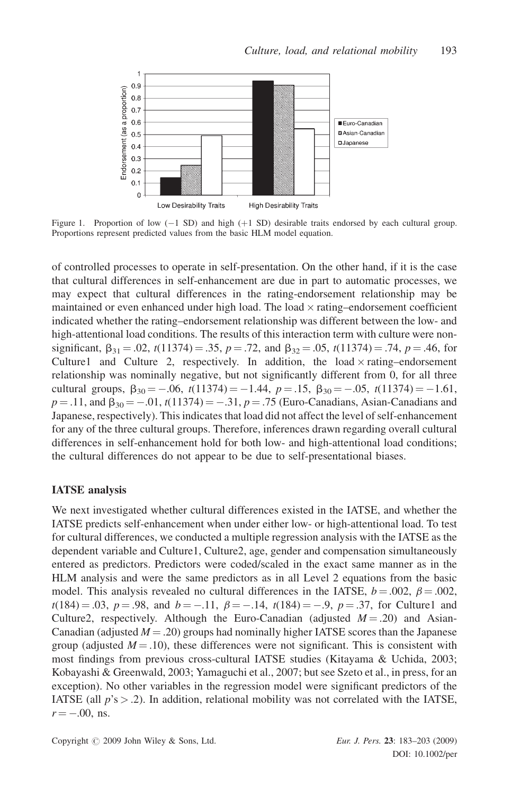

Figure 1. Proportion of low  $(-1 S D)$  and high  $(+1 S D)$  desirable traits endorsed by each cultural group. Proportions represent predicted values from the basic HLM model equation.

of controlled processes to operate in self-presentation. On the other hand, if it is the case that cultural differences in self-enhancement are due in part to automatic processes, we may expect that cultural differences in the rating-endorsement relationship may be maintained or even enhanced under high load. The load  $\times$  rating–endorsement coefficient indicated whether the rating–endorsement relationship was different between the low- and high-attentional load conditions. The results of this interaction term with culture were nonsignificant,  $\beta_{31} = .02$ ,  $t(11374) = .35$ ,  $p = .72$ , and  $\beta_{32} = .05$ ,  $t(11374) = .74$ ,  $p = .46$ , for Culture1 and Culture 2, respectively. In addition, the load  $\times$  rating–endorsement relationship was nominally negative, but not significantly different from 0, for all three cultural groups,  $\beta_{30} = -.06$ ,  $t(11374) = -1.44$ ,  $p = .15$ ,  $\beta_{30} = -.05$ ,  $t(11374) = -1.61$ ,  $p = .11$ , and  $\beta_{30} = -.01$ ,  $t(11374) = -.31$ ,  $p = .75$  (Euro-Canadians, Asian-Canadians and Japanese, respectively). This indicates that load did not affect the level of self-enhancement for any of the three cultural groups. Therefore, inferences drawn regarding overall cultural differences in self-enhancement hold for both low- and high-attentional load conditions; the cultural differences do not appear to be due to self-presentational biases.

# IATSE analysis

We next investigated whether cultural differences existed in the IATSE, and whether the IATSE predicts self-enhancement when under either low- or high-attentional load. To test for cultural differences, we conducted a multiple regression analysis with the IATSE as the dependent variable and Culture1, Culture2, age, gender and compensation simultaneously entered as predictors. Predictors were coded/scaled in the exact same manner as in the HLM analysis and were the same predictors as in all Level 2 equations from the basic model. This analysis revealed no cultural differences in the IATSE,  $b = .002$ ,  $\beta = .002$ ,  $t(184) = .03$ ,  $p = .98$ , and  $b = -.11$ ,  $\beta = -.14$ ,  $t(184) = -.9$ ,  $p = .37$ , for Culture1 and Culture2, respectively. Although the Euro-Canadian (adjusted  $M = .20$ ) and Asian-Canadian (adjusted  $M = .20$ ) groups had nominally higher IATSE scores than the Japanese group (adjusted  $M = .10$ ), these differences were not significant. This is consistent with most findings from previous cross-cultural IATSE studies (Kitayama & Uchida, 2003; Kobayashi & Greenwald, 2003; Yamaguchi et al., 2007; but see Szeto et al., in press, for an exception). No other variables in the regression model were significant predictors of the IATSE (all  $p$ 's  $> 0.2$ ). In addition, relational mobility was not correlated with the IATSE,  $r = -.00$ , ns.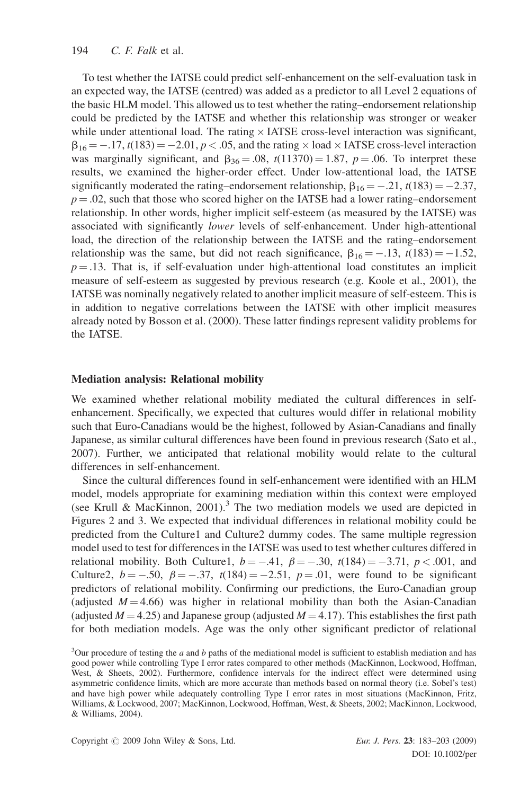To test whether the IATSE could predict self-enhancement on the self-evaluation task in an expected way, the IATSE (centred) was added as a predictor to all Level 2 equations of the basic HLM model. This allowed us to test whether the rating–endorsement relationship could be predicted by the IATSE and whether this relationship was stronger or weaker while under attentional load. The rating  $\times$  IATSE cross-level interaction was significant,  $\beta_{16} = -.17$ ,  $t(183) = -2.01$ ,  $p < .05$ , and the rating  $\times$  load  $\times$  IATSE cross-level interaction was marginally significant, and  $\beta_{36} = .08$ ,  $t(11370) = 1.87$ ,  $p = .06$ . To interpret these results, we examined the higher-order effect. Under low-attentional load, the IATSE significantly moderated the rating–endorsement relationship,  $\beta_{16} = -.21$ ,  $t(183) = -2.37$ ,  $p = .02$ , such that those who scored higher on the IATSE had a lower rating–endorsement relationship. In other words, higher implicit self-esteem (as measured by the IATSE) was associated with significantly lower levels of self-enhancement. Under high-attentional load, the direction of the relationship between the IATSE and the rating–endorsement relationship was the same, but did not reach significance,  $\beta_{16} = -.13$ ,  $t(183) = -1.52$ ,  $p = .13$ . That is, if self-evaluation under high-attentional load constitutes an implicit measure of self-esteem as suggested by previous research (e.g. Koole et al., 2001), the IATSE was nominally negatively related to another implicit measure of self-esteem. This is in addition to negative correlations between the IATSE with other implicit measures already noted by Bosson et al. (2000). These latter findings represent validity problems for the IATSE.

### Mediation analysis: Relational mobility

We examined whether relational mobility mediated the cultural differences in selfenhancement. Specifically, we expected that cultures would differ in relational mobility such that Euro-Canadians would be the highest, followed by Asian-Canadians and finally Japanese, as similar cultural differences have been found in previous research (Sato et al., 2007). Further, we anticipated that relational mobility would relate to the cultural differences in self-enhancement.

Since the cultural differences found in self-enhancement were identified with an HLM model, models appropriate for examining mediation within this context were employed (see Krull & MacKinnon, 2001).<sup>3</sup> The two mediation models we used are depicted in Figures 2 and 3. We expected that individual differences in relational mobility could be predicted from the Culture1 and Culture2 dummy codes. The same multiple regression model used to test for differences in the IATSE was used to test whether cultures differed in relational mobility. Both Culture1,  $b = -.41$ ,  $\beta = -.30$ ,  $t(184) = -3.71$ ,  $p < .001$ , and Culture2,  $b = -.50$ ,  $\beta = -.37$ ,  $t(184) = -2.51$ ,  $p = .01$ , were found to be significant predictors of relational mobility. Confirming our predictions, the Euro-Canadian group (adjusted  $M = 4.66$ ) was higher in relational mobility than both the Asian-Canadian (adjusted  $M = 4.25$ ) and Japanese group (adjusted  $M = 4.17$ ). This establishes the first path for both mediation models. Age was the only other significant predictor of relational

 $3$ Our procedure of testing the a and b paths of the mediational model is sufficient to establish mediation and has good power while controlling Type I error rates compared to other methods (MacKinnon, Lockwood, Hoffman, West, & Sheets, 2002). Furthermore, confidence intervals for the indirect effect were determined using asymmetric confidence limits, which are more accurate than methods based on normal theory (i.e. Sobel's test) and have high power while adequately controlling Type I error rates in most situations (MacKinnon, Fritz, Williams, & Lockwood, 2007; MacKinnon, Lockwood, Hoffman, West, & Sheets, 2002; MacKinnon, Lockwood, & Williams, 2004).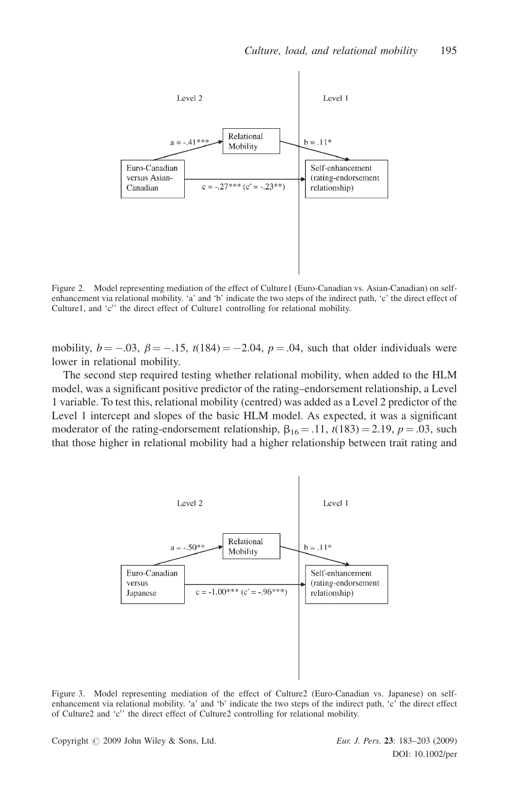

Figure 2. Model representing mediation of the effect of Culture1 (Euro-Canadian vs. Asian-Canadian) on selfenhancement via relational mobility. 'a' and 'b' indicate the two steps of the indirect path, 'c' the direct effect of Culture1, and 'c'' the direct effect of Culture1 controlling for relational mobility.

mobility,  $b = -.03$ ,  $\beta = -.15$ ,  $t(184) = -2.04$ ,  $p = .04$ , such that older individuals were lower in relational mobility.

The second step required testing whether relational mobility, when added to the HLM model, was a significant positive predictor of the rating–endorsement relationship, a Level 1 variable. To test this, relational mobility (centred) was added as a Level 2 predictor of the Level 1 intercept and slopes of the basic HLM model. As expected, it was a significant moderator of the rating-endorsement relationship,  $\beta_{16} = .11$ ,  $t(183) = 2.19$ ,  $p = .03$ , such that those higher in relational mobility had a higher relationship between trait rating and



Figure 3. Model representing mediation of the effect of Culture2 (Euro-Canadian vs. Japanese) on selfenhancement via relational mobility. 'a' and 'b' indicate the two steps of the indirect path, 'c' the direct effect of Culture2 and 'c'' the direct effect of Culture2 controlling for relational mobility.

Copyright © 2009 John Wiley & Sons, Ltd. Eur. J. Pers. 23: 183–203 (2009)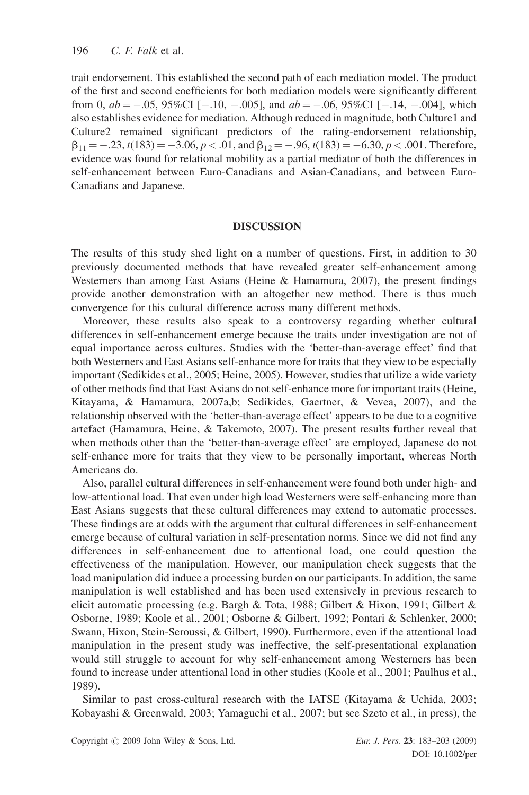trait endorsement. This established the second path of each mediation model. The product of the first and second coefficients for both mediation models were significantly different from 0,  $ab = -.05$ , 95%CI [ $-.10$ ,  $-.005$ ], and  $ab = -.06$ , 95%CI [ $-.14$ ,  $-.004$ ], which also establishes evidence for mediation. Although reduced in magnitude, both Culture1 and Culture2 remained significant predictors of the rating-endorsement relationship,  $\beta_{11} = -.23$ ,  $t(183) = -3.06$ ,  $p < .01$ , and  $\beta_{12} = -.96$ ,  $t(183) = -6.30$ ,  $p < .001$ . Therefore, evidence was found for relational mobility as a partial mediator of both the differences in self-enhancement between Euro-Canadians and Asian-Canadians, and between Euro-Canadians and Japanese.

### **DISCUSSION**

The results of this study shed light on a number of questions. First, in addition to 30 previously documented methods that have revealed greater self-enhancement among Westerners than among East Asians (Heine & Hamamura, 2007), the present findings provide another demonstration with an altogether new method. There is thus much convergence for this cultural difference across many different methods.

Moreover, these results also speak to a controversy regarding whether cultural differences in self-enhancement emerge because the traits under investigation are not of equal importance across cultures. Studies with the 'better-than-average effect' find that both Westerners and East Asians self-enhance more for traits that they view to be especially important (Sedikides et al., 2005; Heine, 2005). However, studies that utilize a wide variety of other methods find that East Asians do not self-enhance more for important traits (Heine, Kitayama, & Hamamura, 2007a,b; Sedikides, Gaertner, & Vevea, 2007), and the relationship observed with the 'better-than-average effect' appears to be due to a cognitive artefact (Hamamura, Heine, & Takemoto, 2007). The present results further reveal that when methods other than the 'better-than-average effect' are employed, Japanese do not self-enhance more for traits that they view to be personally important, whereas North Americans do.

Also, parallel cultural differences in self-enhancement were found both under high- and low-attentional load. That even under high load Westerners were self-enhancing more than East Asians suggests that these cultural differences may extend to automatic processes. These findings are at odds with the argument that cultural differences in self-enhancement emerge because of cultural variation in self-presentation norms. Since we did not find any differences in self-enhancement due to attentional load, one could question the effectiveness of the manipulation. However, our manipulation check suggests that the load manipulation did induce a processing burden on our participants. In addition, the same manipulation is well established and has been used extensively in previous research to elicit automatic processing (e.g. Bargh & Tota, 1988; Gilbert & Hixon, 1991; Gilbert & Osborne, 1989; Koole et al., 2001; Osborne & Gilbert, 1992; Pontari & Schlenker, 2000; Swann, Hixon, Stein-Seroussi, & Gilbert, 1990). Furthermore, even if the attentional load manipulation in the present study was ineffective, the self-presentational explanation would still struggle to account for why self-enhancement among Westerners has been found to increase under attentional load in other studies (Koole et al., 2001; Paulhus et al., 1989).

Similar to past cross-cultural research with the IATSE (Kitayama & Uchida, 2003; Kobayashi & Greenwald, 2003; Yamaguchi et al., 2007; but see Szeto et al., in press), the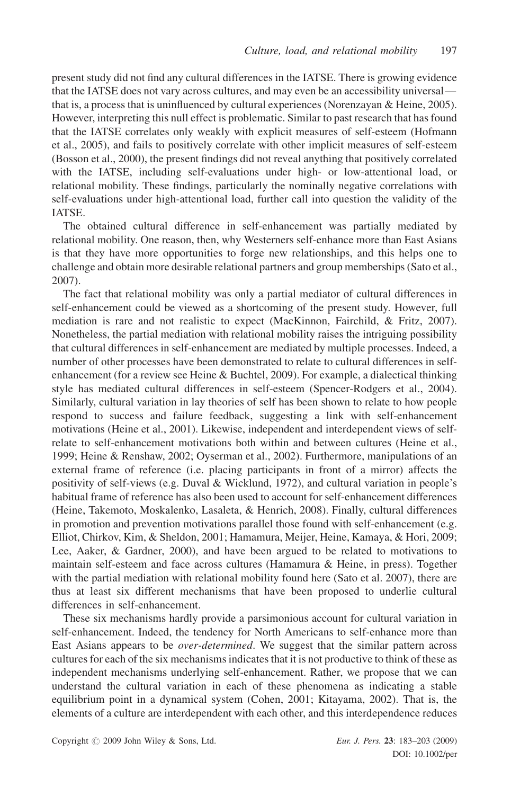present study did not find any cultural differences in the IATSE. There is growing evidence that the IATSE does not vary across cultures, and may even be an accessibility universal that is, a process that is uninfluenced by cultural experiences (Norenzayan & Heine, 2005). However, interpreting this null effect is problematic. Similar to past research that has found that the IATSE correlates only weakly with explicit measures of self-esteem (Hofmann et al., 2005), and fails to positively correlate with other implicit measures of self-esteem (Bosson et al., 2000), the present findings did not reveal anything that positively correlated with the IATSE, including self-evaluations under high- or low-attentional load, or relational mobility. These findings, particularly the nominally negative correlations with self-evaluations under high-attentional load, further call into question the validity of the **IATSE** 

The obtained cultural difference in self-enhancement was partially mediated by relational mobility. One reason, then, why Westerners self-enhance more than East Asians is that they have more opportunities to forge new relationships, and this helps one to challenge and obtain more desirable relational partners and group memberships (Sato et al., 2007).

The fact that relational mobility was only a partial mediator of cultural differences in self-enhancement could be viewed as a shortcoming of the present study. However, full mediation is rare and not realistic to expect (MacKinnon, Fairchild, & Fritz, 2007). Nonetheless, the partial mediation with relational mobility raises the intriguing possibility that cultural differences in self-enhancement are mediated by multiple processes. Indeed, a number of other processes have been demonstrated to relate to cultural differences in selfenhancement (for a review see Heine & Buchtel, 2009). For example, a dialectical thinking style has mediated cultural differences in self-esteem (Spencer-Rodgers et al., 2004). Similarly, cultural variation in lay theories of self has been shown to relate to how people respond to success and failure feedback, suggesting a link with self-enhancement motivations (Heine et al., 2001). Likewise, independent and interdependent views of selfrelate to self-enhancement motivations both within and between cultures (Heine et al., 1999; Heine & Renshaw, 2002; Oyserman et al., 2002). Furthermore, manipulations of an external frame of reference (i.e. placing participants in front of a mirror) affects the positivity of self-views (e.g. Duval & Wicklund, 1972), and cultural variation in people's habitual frame of reference has also been used to account for self-enhancement differences (Heine, Takemoto, Moskalenko, Lasaleta, & Henrich, 2008). Finally, cultural differences in promotion and prevention motivations parallel those found with self-enhancement (e.g. Elliot, Chirkov, Kim, & Sheldon, 2001; Hamamura, Meijer, Heine, Kamaya, & Hori, 2009; Lee, Aaker, & Gardner, 2000), and have been argued to be related to motivations to maintain self-esteem and face across cultures (Hamamura & Heine, in press). Together with the partial mediation with relational mobility found here (Sato et al. 2007), there are thus at least six different mechanisms that have been proposed to underlie cultural differences in self-enhancement.

These six mechanisms hardly provide a parsimonious account for cultural variation in self-enhancement. Indeed, the tendency for North Americans to self-enhance more than East Asians appears to be over-determined. We suggest that the similar pattern across cultures for each of the six mechanisms indicates that it is not productive to think of these as independent mechanisms underlying self-enhancement. Rather, we propose that we can understand the cultural variation in each of these phenomena as indicating a stable equilibrium point in a dynamical system (Cohen, 2001; Kitayama, 2002). That is, the elements of a culture are interdependent with each other, and this interdependence reduces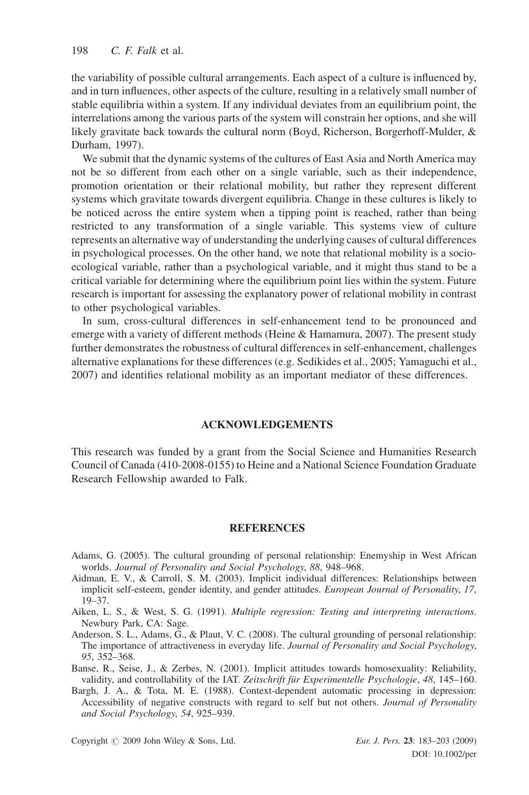the variability of possible cultural arrangements. Each aspect of a culture is influenced by, and in turn influences, other aspects of the culture, resulting in a relatively small number of stable equilibria within a system. If any individual deviates from an equilibrium point, the interrelations among the various parts of the system will constrain her options, and she will likely gravitate back towards the cultural norm (Boyd, Richerson, Borgerhoff-Mulder, & Durham, 1997).

We submit that the dynamic systems of the cultures of East Asia and North America may not be so different from each other on a single variable, such as their independence, promotion orientation or their relational mobility, but rather they represent different systems which gravitate towards divergent equilibria. Change in these cultures is likely to be noticed across the entire system when a tipping point is reached, rather than being restricted to any transformation of a single variable. This systems view of culture represents an alternative way of understanding the underlying causes of cultural differences in psychological processes. On the other hand, we note that relational mobility is a socioecological variable, rather than a psychological variable, and it might thus stand to be a critical variable for determining where the equilibrium point lies within the system. Future research is important for assessing the explanatory power of relational mobility in contrast to other psychological variables.

In sum, cross-cultural differences in self-enhancement tend to be pronounced and emerge with a variety of different methods (Heine & Hamamura, 2007). The present study further demonstrates the robustness of cultural differences in self-enhancement, challenges alternative explanations for these differences (e.g. Sedikides et al., 2005; Yamaguchi et al., 2007) and identifies relational mobility as an important mediator of these differences.

### ACKNOWLEDGEMENTS

This research was funded by a grant from the Social Science and Humanities Research Council of Canada (410-2008-0155) to Heine and a National Science Foundation Graduate Research Fellowship awarded to Falk.

### **REFERENCES**

- Adams, G. (2005). The cultural grounding of personal relationship: Enemyship in West African worlds. Journal of Personality and Social Psychology, 88, 948–968.
- Aidman, E. V., & Carroll, S. M. (2003). Implicit individual differences: Relationships between implicit self-esteem, gender identity, and gender attitudes. European Journal of Personality, 17, 19–37.
- Aiken, L. S., & West, S. G. (1991). Multiple regression: Testing and interpreting interactions. Newbury Park, CA: Sage.
- Anderson, S. L., Adams, G., & Plaut, V. C. (2008). The cultural grounding of personal relationship: The importance of attractiveness in everyday life. Journal of Personality and Social Psychology, 95, 352–368.

Banse, R., Seise, J., & Zerbes, N. (2001). Implicit attitudes towards homosexuality: Reliability, validity, and controllability of the IAT. Zeitschrift für Experimentelle Psychologie, 48, 145–160.

Bargh, J. A., & Tota, M. E. (1988). Context-dependent automatic processing in depression: Accessibility of negative constructs with regard to self but not others. Journal of Personality and Social Psychology, 54, 925–939.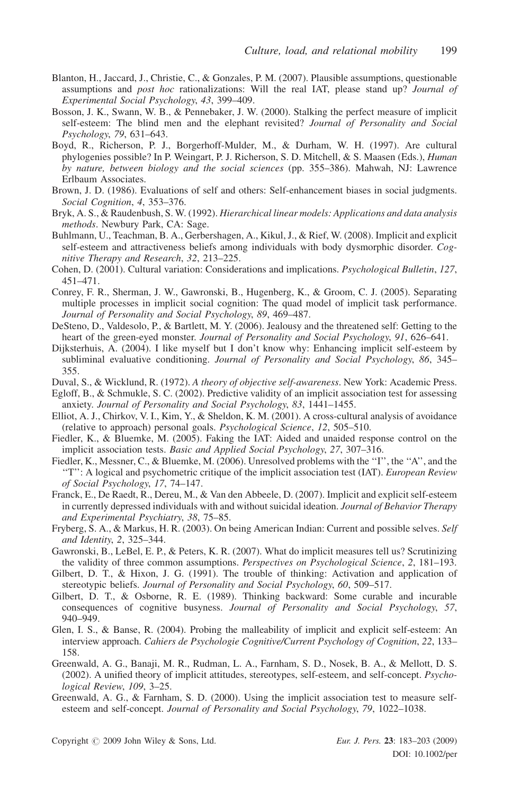- Blanton, H., Jaccard, J., Christie, C., & Gonzales, P. M. (2007). Plausible assumptions, questionable assumptions and post hoc rationalizations: Will the real IAT, please stand up? Journal of Experimental Social Psychology, 43, 399–409.
- Bosson, J. K., Swann, W. B., & Pennebaker, J. W. (2000). Stalking the perfect measure of implicit self-esteem: The blind men and the elephant revisited? Journal of Personality and Social Psychology, 79, 631–643.
- Boyd, R., Richerson, P. J., Borgerhoff-Mulder, M., & Durham, W. H. (1997). Are cultural phylogenies possible? In P. Weingart, P. J. Richerson, S. D. Mitchell, & S. Maasen (Eds.), Human by nature, between biology and the social sciences (pp. 355–386). Mahwah, NJ: Lawrence Erlbaum Associates.
- Brown, J. D. (1986). Evaluations of self and others: Self-enhancement biases in social judgments. Social Cognition, 4, 353–376.
- Bryk, A. S., & Raudenbush, S. W. (1992). Hierarchical linear models: Applications and data analysis methods. Newbury Park, CA: Sage.
- Buhlmann, U., Teachman, B. A., Gerbershagen, A., Kikul, J., & Rief, W. (2008). Implicit and explicit self-esteem and attractiveness beliefs among individuals with body dysmorphic disorder. Cognitive Therapy and Research, 32, 213–225.
- Cohen, D. (2001). Cultural variation: Considerations and implications. Psychological Bulletin, 127, 451–471.
- Conrey, F. R., Sherman, J. W., Gawronski, B., Hugenberg, K., & Groom, C. J. (2005). Separating multiple processes in implicit social cognition: The quad model of implicit task performance. Journal of Personality and Social Psychology, 89, 469–487.
- DeSteno, D., Valdesolo, P., & Bartlett, M. Y. (2006). Jealousy and the threatened self: Getting to the heart of the green-eyed monster. Journal of Personality and Social Psychology, 91, 626-641.
- Dijksterhuis, A. (2004). I like myself but I don't know why: Enhancing implicit self-esteem by subliminal evaluative conditioning. Journal of Personality and Social Psychology, 86, 345– 355.
- Duval, S., & Wicklund, R. (1972). A theory of objective self-awareness. New York: Academic Press.
- Egloff, B., & Schmukle, S. C. (2002). Predictive validity of an implicit association test for assessing anxiety. Journal of Personality and Social Psychology, 83, 1441–1455.
- Elliot, A. J., Chirkov, V. I., Kim, Y., & Sheldon, K. M. (2001). A cross-cultural analysis of avoidance (relative to approach) personal goals. Psychological Science, 12, 505–510.
- Fiedler, K., & Bluemke, M. (2005). Faking the IAT: Aided and unaided response control on the implicit association tests. Basic and Applied Social Psychology, 27, 307–316.
- Fiedler, K., Messner, C., & Bluemke, M. (2006). Unresolved problems with the "I", the "A", and the "T": A logical and psychometric critique of the implicit association test (IAT). *European Review* of Social Psychology, 17, 74–147.
- Franck, E., De Raedt, R., Dereu, M., & Van den Abbeele, D. (2007). Implicit and explicit self-esteem in currently depressed individuals with and without suicidal ideation. Journal of Behavior Therapy and Experimental Psychiatry, 38, 75–85.
- Fryberg, S. A., & Markus, H. R. (2003). On being American Indian: Current and possible selves. Self and Identity, 2, 325–344.
- Gawronski, B., LeBel, E. P., & Peters, K. R. (2007). What do implicit measures tell us? Scrutinizing the validity of three common assumptions. Perspectives on Psychological Science, 2, 181-193.
- Gilbert, D. T., & Hixon, J. G. (1991). The trouble of thinking: Activation and application of stereotypic beliefs. Journal of Personality and Social Psychology, 60, 509–517.
- Gilbert, D. T., & Osborne, R. E. (1989). Thinking backward: Some curable and incurable consequences of cognitive busyness. Journal of Personality and Social Psychology, 57, 940–949.
- Glen, I. S., & Banse, R. (2004). Probing the malleability of implicit and explicit self-esteem: An interview approach. Cahiers de Psychologie Cognitive/Current Psychology of Cognition, 22, 133– 158.
- Greenwald, A. G., Banaji, M. R., Rudman, L. A., Farnham, S. D., Nosek, B. A., & Mellott, D. S. (2002). A unified theory of implicit attitudes, stereotypes, self-esteem, and self-concept. Psychological Review, 109, 3–25.
- Greenwald, A. G., & Farnham, S. D. (2000). Using the implicit association test to measure selfesteem and self-concept. Journal of Personality and Social Psychology, 79, 1022–1038.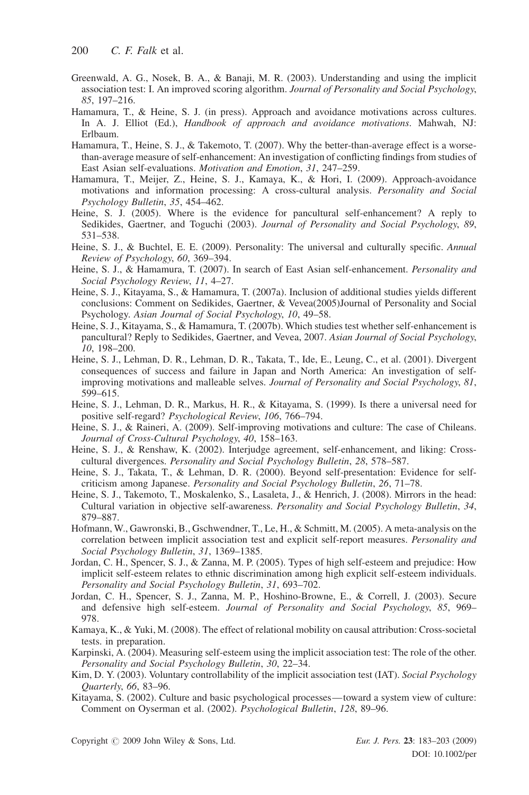- Greenwald, A. G., Nosek, B. A., & Banaji, M. R. (2003). Understanding and using the implicit association test: I. An improved scoring algorithm. Journal of Personality and Social Psychology, 85, 197–216.
- Hamamura, T., & Heine, S. J. (in press). Approach and avoidance motivations across cultures. In A. J. Elliot (Ed.), *Handbook of approach and avoidance motivations*. Mahwah, NJ: Erlbaum.
- Hamamura, T., Heine, S. J., & Takemoto, T. (2007). Why the better-than-average effect is a worsethan-average measure of self-enhancement: An investigation of conflicting findings from studies of East Asian self-evaluations. Motivation and Emotion, 31, 247–259.
- Hamamura, T., Meijer, Z., Heine, S. J., Kamaya, K., & Hori, I. (2009). Approach-avoidance motivations and information processing: A cross-cultural analysis. Personality and Social Psychology Bulletin, 35, 454–462.
- Heine, S. J. (2005). Where is the evidence for pancultural self-enhancement? A reply to Sedikides, Gaertner, and Toguchi (2003). Journal of Personality and Social Psychology, 89, 531–538.
- Heine, S. J., & Buchtel, E. E. (2009). Personality: The universal and culturally specific. Annual Review of Psychology, 60, 369–394.
- Heine, S. J., & Hamamura, T. (2007). In search of East Asian self-enhancement. Personality and Social Psychology Review, 11, 4–27.
- Heine, S. J., Kitayama, S., & Hamamura, T. (2007a). Inclusion of additional studies yields different conclusions: Comment on Sedikides, Gaertner, & Vevea(2005)Journal of Personality and Social Psychology. Asian Journal of Social Psychology, 10, 49–58.
- Heine, S. J., Kitayama, S., & Hamamura, T. (2007b). Which studies test whether self-enhancement is pancultural? Reply to Sedikides, Gaertner, and Vevea, 2007. Asian Journal of Social Psychology, 10, 198–200.
- Heine, S. J., Lehman, D. R., Lehman, D. R., Takata, T., Ide, E., Leung, C., et al. (2001). Divergent consequences of success and failure in Japan and North America: An investigation of selfimproving motivations and malleable selves. Journal of Personality and Social Psychology, 81, 599–615.
- Heine, S. J., Lehman, D. R., Markus, H. R., & Kitayama, S. (1999). Is there a universal need for positive self-regard? Psychological Review, 106, 766–794.
- Heine, S. J., & Raineri, A. (2009). Self-improving motivations and culture: The case of Chileans. Journal of Cross-Cultural Psychology, 40, 158-163.
- Heine, S. J., & Renshaw, K. (2002). Interjudge agreement, self-enhancement, and liking: Crosscultural divergences. Personality and Social Psychology Bulletin, 28, 578–587.
- Heine, S. J., Takata, T., & Lehman, D. R. (2000). Beyond self-presentation: Evidence for selfcriticism among Japanese. Personality and Social Psychology Bulletin, 26, 71–78.
- Heine, S. J., Takemoto, T., Moskalenko, S., Lasaleta, J., & Henrich, J. (2008). Mirrors in the head: Cultural variation in objective self-awareness. Personality and Social Psychology Bulletin, 34, 879–887.
- Hofmann, W., Gawronski, B., Gschwendner, T., Le, H., & Schmitt, M. (2005). A meta-analysis on the correlation between implicit association test and explicit self-report measures. Personality and Social Psychology Bulletin, 31, 1369-1385.
- Jordan, C. H., Spencer, S. J., & Zanna, M. P. (2005). Types of high self-esteem and prejudice: How implicit self-esteem relates to ethnic discrimination among high explicit self-esteem individuals. Personality and Social Psychology Bulletin, 31, 693–702.
- Jordan, C. H., Spencer, S. J., Zanna, M. P., Hoshino-Browne, E., & Correll, J. (2003). Secure and defensive high self-esteem. Journal of Personality and Social Psychology, 85, 969– 978.
- Kamaya, K., & Yuki, M. (2008). The effect of relational mobility on causal attribution: Cross-societal tests. in preparation.
- Karpinski, A. (2004). Measuring self-esteem using the implicit association test: The role of the other. Personality and Social Psychology Bulletin, 30, 22–34.
- Kim, D. Y. (2003). Voluntary controllability of the implicit association test (IAT). Social Psychology Quarterly, 66, 83–96.
- Kitayama, S. (2002). Culture and basic psychological processes—toward a system view of culture: Comment on Oyserman et al. (2002). Psychological Bulletin, 128, 89–96.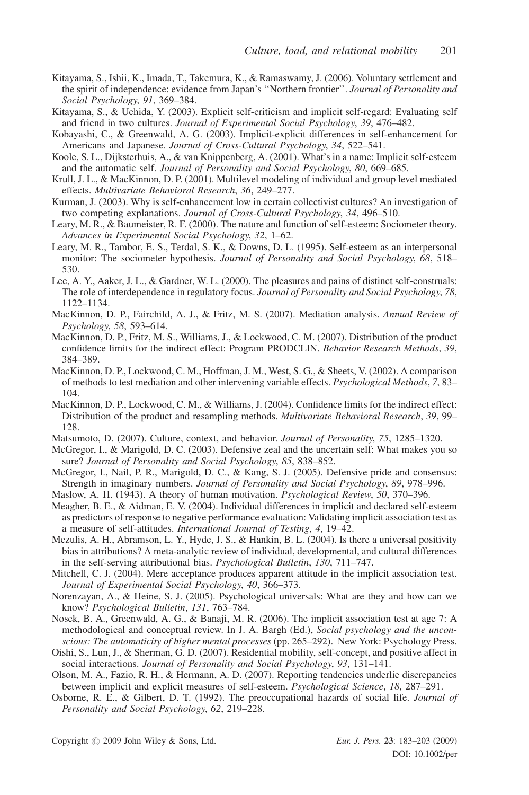- Kitayama, S., Ishii, K., Imada, T., Takemura, K., & Ramaswamy, J. (2006). Voluntary settlement and the spirit of independence: evidence from Japan's ''Northern frontier''. Journal of Personality and Social Psychology, 91, 369–384.
- Kitayama, S., & Uchida, Y. (2003). Explicit self-criticism and implicit self-regard: Evaluating self and friend in two cultures. Journal of Experimental Social Psychology, 39, 476–482.
- Kobayashi, C., & Greenwald, A. G. (2003). Implicit-explicit differences in self-enhancement for Americans and Japanese. Journal of Cross-Cultural Psychology, 34, 522–541.
- Koole, S. L., Dijksterhuis, A., & van Knippenberg, A. (2001). What's in a name: Implicit self-esteem and the automatic self. Journal of Personality and Social Psychology, 80, 669–685.
- Krull, J. L., & MacKinnon, D. P. (2001). Multilevel modeling of individual and group level mediated effects. Multivariate Behavioral Research, 36, 249–277.
- Kurman, J. (2003). Why is self-enhancement low in certain collectivist cultures? An investigation of two competing explanations. Journal of Cross-Cultural Psychology, 34, 496–510.
- Leary, M. R., & Baumeister, R. F. (2000). The nature and function of self-esteem: Sociometer theory. Advances in Experimental Social Psychology, 32, 1–62.
- Leary, M. R., Tambor, E. S., Terdal, S. K., & Downs, D. L. (1995). Self-esteem as an interpersonal monitor: The sociometer hypothesis. Journal of Personality and Social Psychology, 68, 518– 530.
- Lee, A. Y., Aaker, J. L., & Gardner, W. L. (2000). The pleasures and pains of distinct self-construals: The role of interdependence in regulatory focus. Journal of Personality and Social Psychology, 78, 1122–1134.
- MacKinnon, D. P., Fairchild, A. J., & Fritz, M. S. (2007). Mediation analysis. Annual Review of Psychology, 58, 593–614.
- MacKinnon, D. P., Fritz, M. S., Williams, J., & Lockwood, C. M. (2007). Distribution of the product confidence limits for the indirect effect: Program PRODCLIN. Behavior Research Methods, 39, 384–389.
- MacKinnon, D. P., Lockwood, C. M., Hoffman, J. M., West, S. G., & Sheets, V. (2002). A comparison of methods to test mediation and other intervening variable effects. Psychological Methods, 7, 83– 104.
- MacKinnon, D. P., Lockwood, C. M., & Williams, J. (2004). Confidence limits for the indirect effect: Distribution of the product and resampling methods. *Multivariate Behavioral Research*, 39, 99– 128.
- Matsumoto, D. (2007). Culture, context, and behavior. Journal of Personality, 75, 1285–1320.
- McGregor, I., & Marigold, D. C. (2003). Defensive zeal and the uncertain self: What makes you so sure? Journal of Personality and Social Psychology, 85, 838–852.
- McGregor, I., Nail, P. R., Marigold, D. C., & Kang, S. J. (2005). Defensive pride and consensus: Strength in imaginary numbers. Journal of Personality and Social Psychology, 89, 978–996.
- Maslow, A. H. (1943). A theory of human motivation. Psychological Review, 50, 370–396.
- Meagher, B. E., & Aidman, E. V. (2004). Individual differences in implicit and declared self-esteem as predictors of response to negative performance evaluation: Validating implicit association test as a measure of self-attitudes. International Journal of Testing, 4, 19–42.
- Mezulis, A. H., Abramson, L. Y., Hyde, J. S., & Hankin, B. L. (2004). Is there a universal positivity bias in attributions? A meta-analytic review of individual, developmental, and cultural differences in the self-serving attributional bias. Psychological Bulletin, 130, 711–747.
- Mitchell, C. J. (2004). Mere acceptance produces apparent attitude in the implicit association test. Journal of Experimental Social Psychology, 40, 366–373.
- Norenzayan, A., & Heine, S. J. (2005). Psychological universals: What are they and how can we know? Psychological Bulletin, 131, 763–784.
- Nosek, B. A., Greenwald, A. G., & Banaji, M. R. (2006). The implicit association test at age 7: A methodological and conceptual review. In J. A. Bargh (Ed.), Social psychology and the unconscious: The automaticity of higher mental processes (pp. 265–292). New York: Psychology Press.
- Oishi, S., Lun, J., & Sherman, G. D. (2007). Residential mobility, self-concept, and positive affect in social interactions. Journal of Personality and Social Psychology, 93, 131-141.
- Olson, M. A., Fazio, R. H., & Hermann, A. D. (2007). Reporting tendencies underlie discrepancies between implicit and explicit measures of self-esteem. Psychological Science, 18, 287–291.
- Osborne, R. E., & Gilbert, D. T. (1992). The preoccupational hazards of social life. Journal of Personality and Social Psychology, 62, 219-228.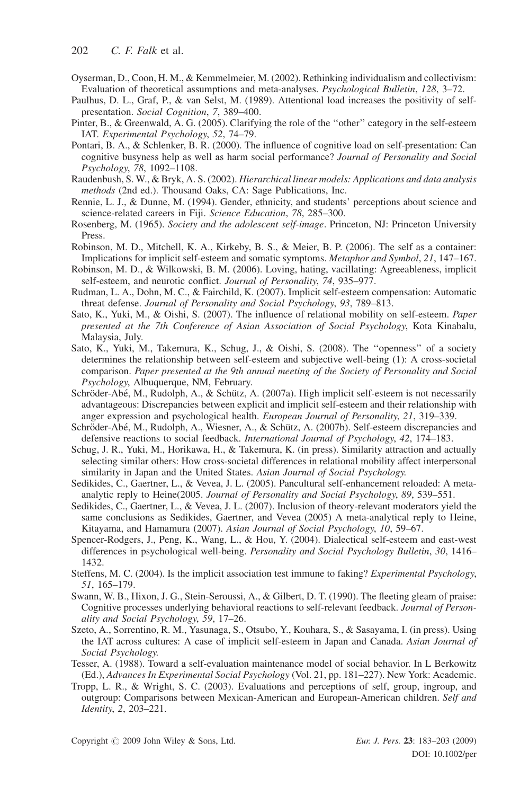- Oyserman, D., Coon, H. M., & Kemmelmeier, M. (2002). Rethinking individualism and collectivism: Evaluation of theoretical assumptions and meta-analyses. Psychological Bulletin, 128, 3–72.
- Paulhus, D. L., Graf, P., & van Selst, M. (1989). Attentional load increases the positivity of selfpresentation. Social Cognition, 7, 389–400.
- Pinter, B., & Greenwald, A. G. (2005). Clarifying the role of the ''other'' category in the self-esteem IAT. Experimental Psychology, 52, 74–79.
- Pontari, B. A., & Schlenker, B. R. (2000). The influence of cognitive load on self-presentation: Can cognitive busyness help as well as harm social performance? Journal of Personality and Social Psychology, 78, 1092–1108.
- Raudenbush, S. W., & Bryk, A. S. (2002). Hierarchical linear models: Applications and data analysis methods (2nd ed.). Thousand Oaks, CA: Sage Publications, Inc.
- Rennie, L. J., & Dunne, M. (1994). Gender, ethnicity, and students' perceptions about science and science-related careers in Fiji. Science Education, 78, 285–300.
- Rosenberg, M. (1965). Society and the adolescent self-image. Princeton, NJ: Princeton University Press.
- Robinson, M. D., Mitchell, K. A., Kirkeby, B. S., & Meier, B. P. (2006). The self as a container: Implications for implicit self-esteem and somatic symptoms. Metaphor and Symbol, 21, 147–167.
- Robinson, M. D., & Wilkowski, B. M. (2006). Loving, hating, vacillating: Agreeableness, implicit self-esteem, and neurotic conflict. Journal of Personality, 74, 935–977.
- Rudman, L. A., Dohn, M. C., & Fairchild, K. (2007). Implicit self-esteem compensation: Automatic threat defense. Journal of Personality and Social Psychology, 93, 789–813.
- Sato, K., Yuki, M., & Oishi, S. (2007). The influence of relational mobility on self-esteem. Paper presented at the 7th Conference of Asian Association of Social Psychology, Kota Kinabalu, Malaysia, July.
- Sato, K., Yuki, M., Takemura, K., Schug, J., & Oishi, S. (2008). The ''openness'' of a society determines the relationship between self-esteem and subjective well-being (1): A cross-societal comparison. Paper presented at the 9th annual meeting of the Society of Personality and Social Psychology, Albuquerque, NM, February.
- Schröder-Abé, M., Rudolph, A., & Schütz, A. (2007a). High implicit self-esteem is not necessarily advantageous: Discrepancies between explicit and implicit self-esteem and their relationship with anger expression and psychological health. European Journal of Personality, 21, 319–339.
- Schröder-Abé, M., Rudolph, A., Wiesner, A., & Schütz, A. (2007b). Self-esteem discrepancies and defensive reactions to social feedback. *International Journal of Psychology*, 42, 174–183.
- Schug, J. R., Yuki, M., Horikawa, H., & Takemura, K. (in press). Similarity attraction and actually selecting similar others: How cross-societal differences in relational mobility affect interpersonal similarity in Japan and the United States. Asian Journal of Social Psychology.
- Sedikides, C., Gaertner, L., & Vevea, J. L. (2005). Pancultural self-enhancement reloaded: A metaanalytic reply to Heine(2005. Journal of Personality and Social Psychology, 89, 539–551.
- Sedikides, C., Gaertner, L., & Vevea, J. L. (2007). Inclusion of theory-relevant moderators yield the same conclusions as Sedikides, Gaertner, and Vevea (2005) A meta-analytical reply to Heine, Kitayama, and Hamamura (2007). Asian Journal of Social Psychology, 10, 59–67.
- Spencer-Rodgers, J., Peng, K., Wang, L., & Hou, Y. (2004). Dialectical self-esteem and east-west differences in psychological well-being. *Personality and Social Psychology Bulletin*, 30, 1416– 1432.
- Steffens, M. C. (2004). Is the implicit association test immune to faking? Experimental Psychology, 51, 165–179.
- Swann, W. B., Hixon, J. G., Stein-Seroussi, A., & Gilbert, D. T. (1990). The fleeting gleam of praise: Cognitive processes underlying behavioral reactions to self-relevant feedback. Journal of Personality and Social Psychology, 59, 17–26.
- Szeto, A., Sorrentino, R. M., Yasunaga, S., Otsubo, Y., Kouhara, S., & Sasayama, I. (in press). Using the IAT across cultures: A case of implicit self-esteem in Japan and Canada. Asian Journal of Social Psychology.
- Tesser, A. (1988). Toward a self-evaluation maintenance model of social behavior. In L Berkowitz (Ed.), Advances In Experimental Social Psychology (Vol. 21, pp. 181–227). New York: Academic.
- Tropp, L. R., & Wright, S. C. (2003). Evaluations and perceptions of self, group, ingroup, and outgroup: Comparisons between Mexican-American and European-American children. Self and Identity, 2, 203–221.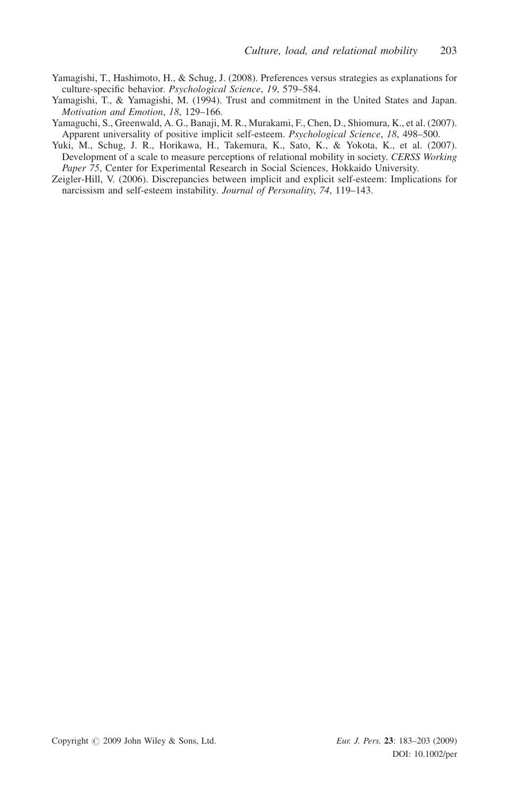- Yamagishi, T., Hashimoto, H., & Schug, J. (2008). Preferences versus strategies as explanations for culture-specific behavior. Psychological Science, 19, 579–584.
- Yamagishi, T., & Yamagishi, M. (1994). Trust and commitment in the United States and Japan. Motivation and Emotion, 18, 129–166.
- Yamaguchi, S., Greenwald, A. G., Banaji, M. R., Murakami, F., Chen, D., Shiomura, K., et al. (2007). Apparent universality of positive implicit self-esteem. Psychological Science, 18, 498–500.
- Yuki, M., Schug, J. R., Horikawa, H., Takemura, K., Sato, K., & Yokota, K., et al. (2007). Development of a scale to measure perceptions of relational mobility in society. CERSS Working Paper 75, Center for Experimental Research in Social Sciences, Hokkaido University.
- Zeigler-Hill, V. (2006). Discrepancies between implicit and explicit self-esteem: Implications for narcissism and self-esteem instability. Journal of Personality, 74, 119–143.